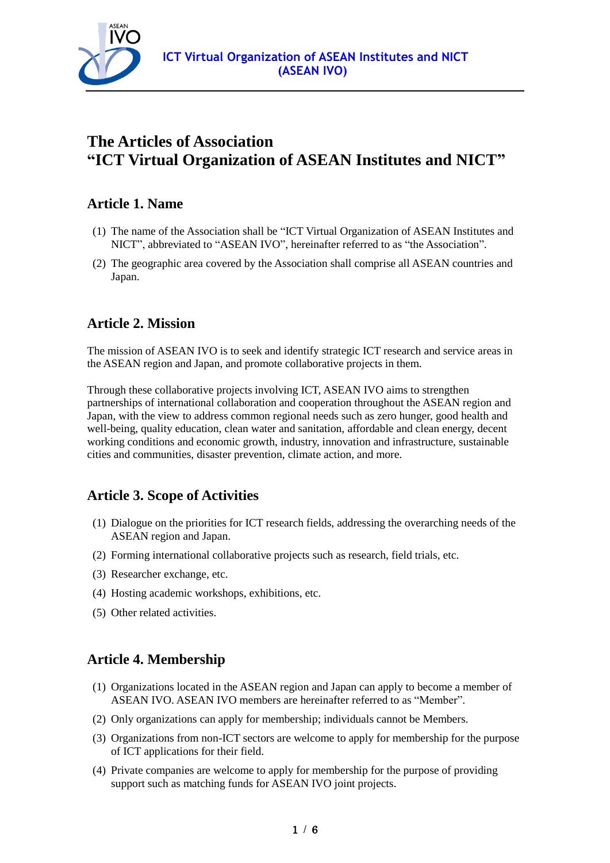

# **The Articles of Association "ICT Virtual Organization of ASEAN Institutes and NICT"**

## **Article 1. Name**

- (1) The name of the Association shall be "ICT Virtual Organization of ASEAN Institutes and NICT", abbreviated to "ASEAN IVO", hereinafter referred to as "the Association".
- (2) The geographic area covered by the Association shall comprise all ASEAN countries and Japan.

## **Article 2. Mission**

The mission of ASEAN IVO is to seek and identify strategic ICT research and service areas in the ASEAN region and Japan, and promote collaborative projects in them.

Through these collaborative projects involving ICT, ASEAN IVO aims to strengthen partnerships of international collaboration and cooperation throughout the ASEAN region and Japan, with the view to address common regional needs such as zero hunger, good health and well-being, quality education, clean water and sanitation, affordable and clean energy, decent working conditions and economic growth, industry, innovation and infrastructure, sustainable cities and communities, disaster prevention, climate action, and more.

## **Article 3. Scope of Activities**

- (1) Dialogue on the priorities for ICT research fields, addressing the overarching needs of the ASEAN region and Japan.
- (2) Forming international collaborative projects such as research, field trials, etc.
- (3) Researcher exchange, etc.
- (4) Hosting academic workshops, exhibitions, etc.
- (5) Other related activities.

## **Article 4. Membership**

- (1) Organizations located in the ASEAN region and Japan can apply to become a member of ASEAN IVO. ASEAN IVO members are hereinafter referred to as "Member".
- (2) Only organizations can apply for membership; individuals cannot be Members.
- (3) Organizations from non-ICT sectors are welcome to apply for membership for the purpose of ICT applications for their field.
- (4) Private companies are welcome to apply for membership for the purpose of providing support such as matching funds for ASEAN IVO joint projects.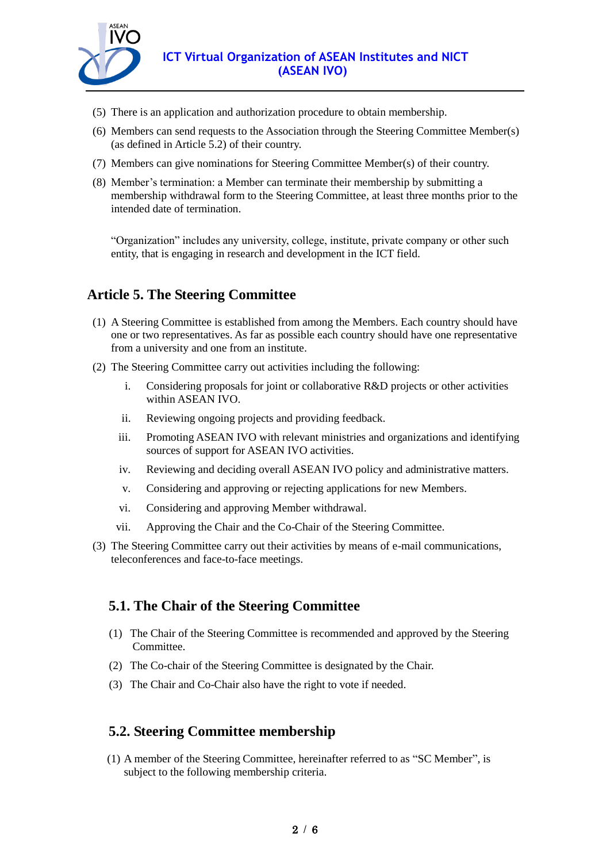

- (5) There is an application and authorization procedure to obtain membership.
- (6) Members can send requests to the Association through the Steering Committee Member(s) (as defined in Article 5.2) of their country.
- (7) Members can give nominations for Steering Committee Member(s) of their country.
- (8) Member's termination: a Member can terminate their membership by submitting a membership withdrawal form to the Steering Committee, at least three months prior to the intended date of termination.

"Organization" includes any university, college, institute, private company or other such entity, that is engaging in research and development in the ICT field.

## **Article 5. The Steering Committee**

- (1) A Steering Committee is established from among the Members. Each country should have one or two representatives. As far as possible each country should have one representative from a university and one from an institute.
- (2) The Steering Committee carry out activities including the following:
	- i. Considering proposals for joint or collaborative R&D projects or other activities within ASEAN IVO.
	- ii. Reviewing ongoing projects and providing feedback.
	- iii. Promoting ASEAN IVO with relevant ministries and organizations and identifying sources of support for ASEAN IVO activities.
	- iv. Reviewing and deciding overall ASEAN IVO policy and administrative matters.
	- v. Considering and approving or rejecting applications for new Members.
	- vi. Considering and approving Member withdrawal.
	- vii. Approving the Chair and the Co-Chair of the Steering Committee.
- (3) The Steering Committee carry out their activities by means of e-mail communications, teleconferences and face-to-face meetings.

### **5.1. The Chair of the Steering Committee**

- (1) The Chair of the Steering Committee is recommended and approved by the Steering Committee.
- (2) The Co-chair of the Steering Committee is designated by the Chair.
- (3) The Chair and Co-Chair also have the right to vote if needed.

### **5.2. Steering Committee membership**

(1) A member of the Steering Committee, hereinafter referred to as "SC Member", is subject to the following membership criteria.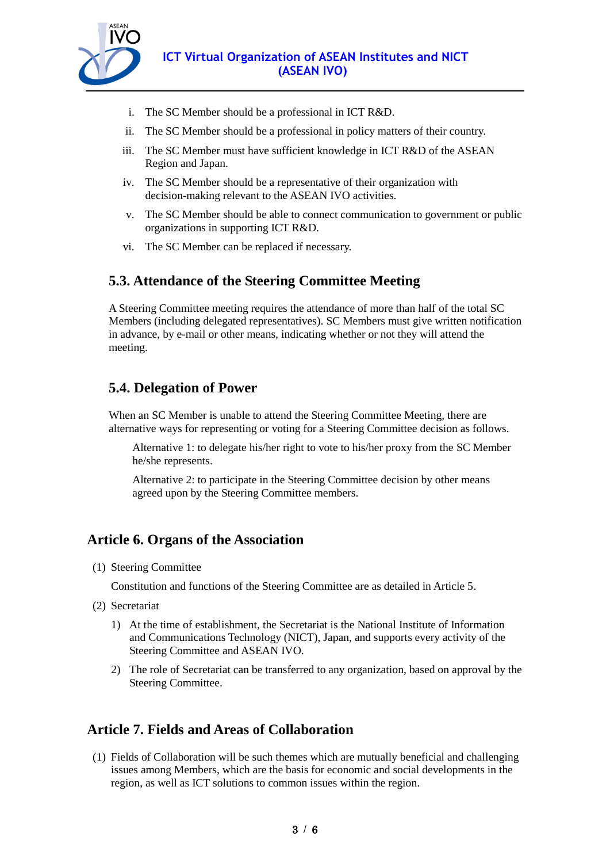

- i. The SC Member should be a professional in ICT R&D.
- ii. The SC Member should be a professional in policy matters of their country.
- iii. The SC Member must have sufficient knowledge in ICT R&D of the ASEAN Region and Japan.
- iv. The SC Member should be a representative of their organization with decision-making relevant to the ASEAN IVO activities.
- v. The SC Member should be able to connect communication to government or public organizations in supporting ICT R&D.
- vi. The SC Member can be replaced if necessary.

## **5.3. Attendance of the Steering Committee Meeting**

A Steering Committee meeting requires the attendance of more than half of the total SC Members (including delegated representatives). SC Members must give written notification in advance, by e-mail or other means, indicating whether or not they will attend the meeting.

## **5.4. Delegation of Power**

When an SC Member is unable to attend the Steering Committee Meeting, there are alternative ways for representing or voting for a Steering Committee decision as follows.

Alternative 1: to delegate his/her right to vote to his/her proxy from the SC Member he/she represents.

Alternative 2: to participate in the Steering Committee decision by other means agreed upon by the Steering Committee members.

## **Article 6. Organs of the Association**

(1) Steering Committee

Constitution and functions of the Steering Committee are as detailed in Article 5.

- (2) Secretariat
	- 1) At the time of establishment, the Secretariat is the National Institute of Information and Communications Technology (NICT), Japan, and supports every activity of the Steering Committee and ASEAN IVO.
	- 2) The role of Secretariat can be transferred to any organization, based on approval by the Steering Committee.

## **Article 7. Fields and Areas of Collaboration**

(1) Fields of Collaboration will be such themes which are mutually beneficial and challenging issues among Members, which are the basis for economic and social developments in the region, as well as ICT solutions to common issues within the region.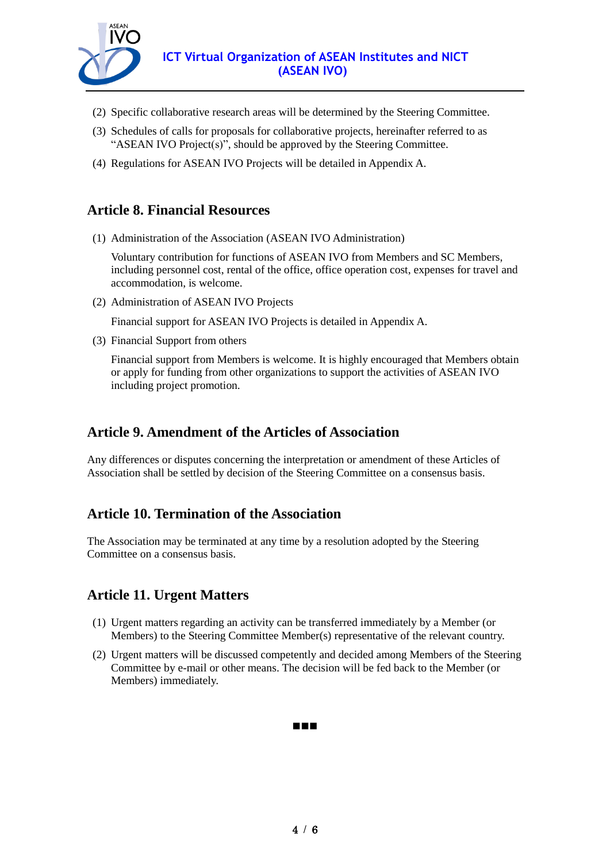

- (2) Specific collaborative research areas will be determined by the Steering Committee.
- (3) Schedules of calls for proposals for collaborative projects, hereinafter referred to as "ASEAN IVO Project(s)", should be approved by the Steering Committee.
- (4) Regulations for ASEAN IVO Projects will be detailed in Appendix A.

### **Article 8. Financial Resources**

(1) Administration of the Association (ASEAN IVO Administration)

Voluntary contribution for functions of ASEAN IVO from Members and SC Members, including personnel cost, rental of the office, office operation cost, expenses for travel and accommodation, is welcome.

(2) Administration of ASEAN IVO Projects

Financial support for ASEAN IVO Projects is detailed in Appendix A.

(3) Financial Support from others

Financial support from Members is welcome. It is highly encouraged that Members obtain or apply for funding from other organizations to support the activities of ASEAN IVO including project promotion.

### **Article 9. Amendment of the Articles of Association**

Any differences or disputes concerning the interpretation or amendment of these Articles of Association shall be settled by decision of the Steering Committee on a consensus basis.

## **Article 10. Termination of the Association**

The Association may be terminated at any time by a resolution adopted by the Steering Committee on a consensus basis.

## **Article 11. Urgent Matters**

- (1) Urgent matters regarding an activity can be transferred immediately by a Member (or Members) to the Steering Committee Member(s) representative of the relevant country.
- (2) Urgent matters will be discussed competently and decided among Members of the Steering Committee by e-mail or other means. The decision will be fed back to the Member (or Members) immediately.

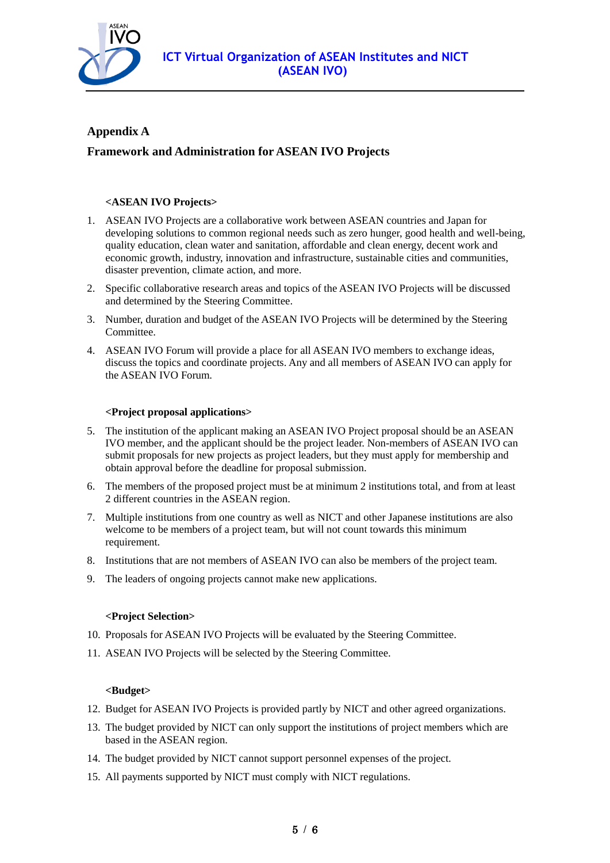

#### **Appendix A**

#### **Framework and Administration for ASEAN IVO Projects**

#### **<ASEAN IVO Projects>**

- 1. ASEAN IVO Projects are a collaborative work between ASEAN countries and Japan for developing solutions to common regional needs such as zero hunger, good health and well-being, quality education, clean water and sanitation, affordable and clean energy, decent work and economic growth, industry, innovation and infrastructure, sustainable cities and communities, disaster prevention, climate action, and more.
- 2. Specific collaborative research areas and topics of the ASEAN IVO Projects will be discussed and determined by the Steering Committee.
- 3. Number, duration and budget of the ASEAN IVO Projects will be determined by the Steering Committee.
- 4. ASEAN IVO Forum will provide a place for all ASEAN IVO members to exchange ideas, discuss the topics and coordinate projects. Any and all members of ASEAN IVO can apply for the ASEAN IVO Forum.

#### **<Project proposal applications>**

- 5. The institution of the applicant making an ASEAN IVO Project proposal should be an ASEAN IVO member, and the applicant should be the project leader. Non-members of ASEAN IVO can submit proposals for new projects as project leaders, but they must apply for membership and obtain approval before the deadline for proposal submission.
- 6. The members of the proposed project must be at minimum 2 institutions total, and from at least 2 different countries in the ASEAN region.
- 7. Multiple institutions from one country as well as NICT and other Japanese institutions are also welcome to be members of a project team, but will not count towards this minimum requirement.
- 8. Institutions that are not members of ASEAN IVO can also be members of the project team.
- 9. The leaders of ongoing projects cannot make new applications.

#### **<Project Selection>**

- 10. Proposals for ASEAN IVO Projects will be evaluated by the Steering Committee.
- 11. ASEAN IVO Projects will be selected by the Steering Committee.

#### **<Budget>**

- 12. Budget for ASEAN IVO Projects is provided partly by NICT and other agreed organizations.
- 13. The budget provided by NICT can only support the institutions of project members which are based in the ASEAN region.
- 14. The budget provided by NICT cannot support personnel expenses of the project.
- 15. All payments supported by NICT must comply with NICT regulations.